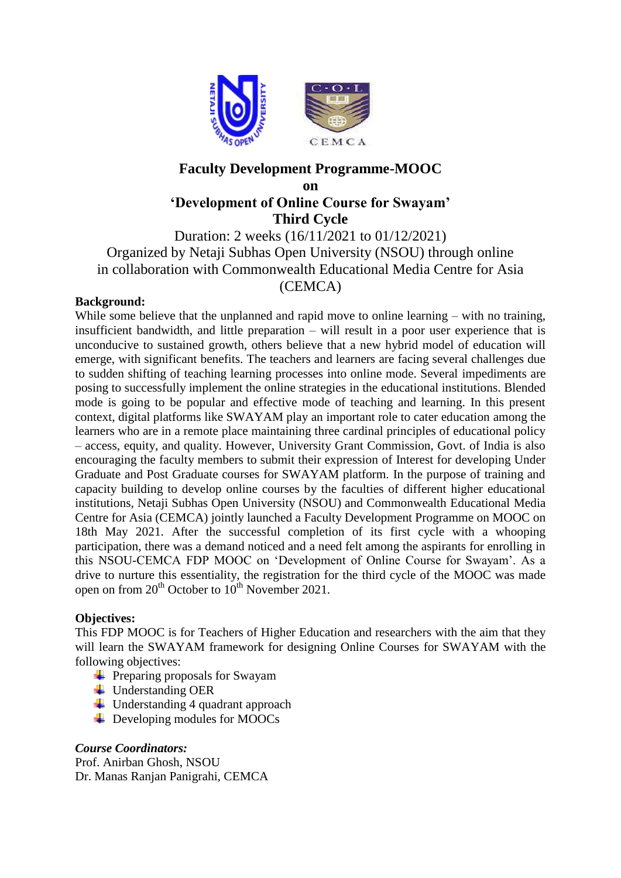

# **Faculty Development Programme-MOOC**

## **on 'Development of Online Course for Swayam' Third Cycle**

Duration: 2 weeks (16/11/2021 to 01/12/2021) Organized by Netaji Subhas Open University (NSOU) through online in collaboration with Commonwealth Educational Media Centre for Asia (CEMCA)

## **Background:**

While some believe that the unplanned and rapid move to online learning – with no training, insufficient bandwidth, and little preparation – will result in a poor user experience that is unconducive to sustained growth, others believe that a new hybrid model of education will emerge, with significant benefits. The teachers and learners are facing several challenges due to sudden shifting of teaching learning processes into online mode. Several impediments are posing to successfully implement the online strategies in the educational institutions. Blended mode is going to be popular and effective mode of teaching and learning. In this present context, digital platforms like SWAYAM play an important role to cater education among the learners who are in a remote place maintaining three cardinal principles of educational policy – access, equity, and quality. However, University Grant Commission, Govt. of India is also encouraging the faculty members to submit their expression of Interest for developing Under Graduate and Post Graduate courses for SWAYAM platform. In the purpose of training and capacity building to develop online courses by the faculties of different higher educational institutions, Netaji Subhas Open University (NSOU) and Commonwealth Educational Media Centre for Asia (CEMCA) jointly launched a Faculty Development Programme on MOOC on 18th May 2021. After the successful completion of its first cycle with a whooping participation, there was a demand noticed and a need felt among the aspirants for enrolling in this NSOU-CEMCA FDP MOOC on 'Development of Online Course for Swayam'. As a drive to nurture this essentiality, the registration for the third cycle of the MOOC was made open on from  $20^{th}$  October to  $10^{th}$  November 2021.

## **Objectives:**

This FDP MOOC is for Teachers of Higher Education and researchers with the aim that they will learn the SWAYAM framework for designing Online Courses for SWAYAM with the following objectives:

- $\overline{\phantom{a}}$  Preparing proposals for Swayam
- $\downarrow$  Understanding OER
- $\downarrow$  Understanding 4 quadrant approach
- $\overline{\phantom{a}}$  Developing modules for MOOCs

## *Course Coordinators:*

Prof. Anirban Ghosh, NSOU Dr. Manas Ranjan Panigrahi, CEMCA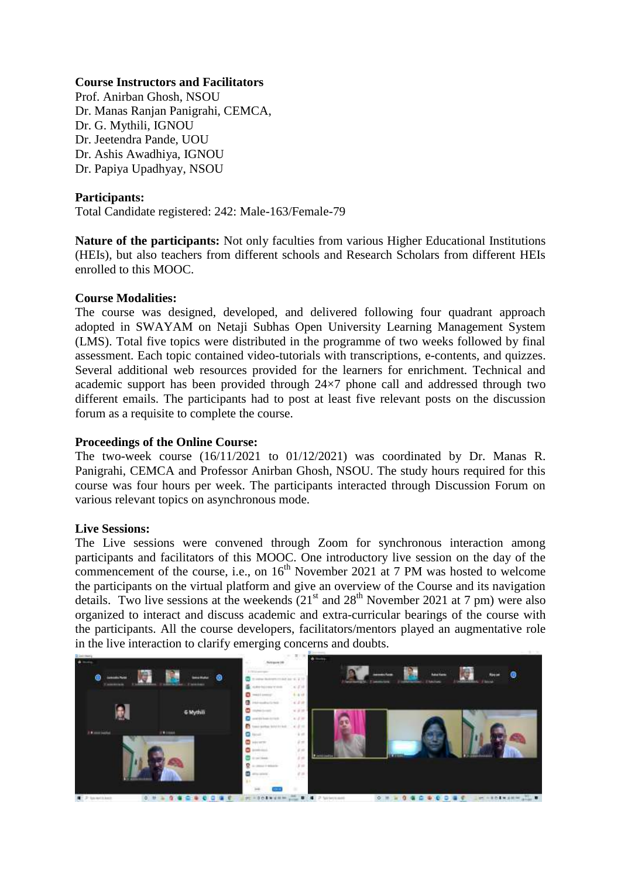#### **Course Instructors and Facilitators**

Prof. Anirban Ghosh, NSOU Dr. Manas Ranjan Panigrahi, CEMCA, Dr. G. Mythili, IGNOU Dr. Jeetendra Pande, UOU Dr. Ashis Awadhiya, IGNOU Dr. Papiya Upadhyay, NSOU

### **Participants:**

Total Candidate registered: 242: Male-163/Female-79

Nature of the participants: Not only faculties from various Higher Educational Institutions (HEIs), but also teachers from different schools and Research Scholars from different HEIs enrolled to this MOOC.

#### **Course Modalities:**

The course was designed, developed, and delivered following four quadrant approach adopted in SWAYAM on Netaji Subhas Open University Learning Management System (LMS). Total five topics were distributed in the programme of two weeks followed by final assessment. Each topic contained video-tutorials with transcriptions, e-contents, and quizzes. Several additional web resources provided for the learners for enrichment. Technical and academic support has been provided through 24×7 phone call and addressed through two different emails. The participants had to post at least five relevant posts on the discussion forum as a requisite to complete the course.

#### **Proceedings of the Online Course:**

The two-week course (16/11/2021 to 01/12/2021) was coordinated by Dr. Manas R. Panigrahi, CEMCA and Professor Anirban Ghosh, NSOU. The study hours required for this course was four hours per week. The participants interacted through Discussion Forum on various relevant topics on asynchronous mode.

#### **Live Sessions:**

The Live sessions were convened through Zoom for synchronous interaction among participants and facilitators of this MOOC. One introductory live session on the day of the commencement of the course, i.e., on  $16<sup>th</sup>$  November 2021 at 7 PM was hosted to welcome the participants on the virtual platform and give an overview of the Course and its navigation details. Two live sessions at the weekends  $(21<sup>st</sup>$  and  $28<sup>th</sup>$  November 2021 at 7 pm) were also organized to interact and discuss academic and extra-curricular bearings of the course with the participants. All the course developers, facilitators/mentors played an augmentative role in the live interaction to clarify emerging concerns and doubts.

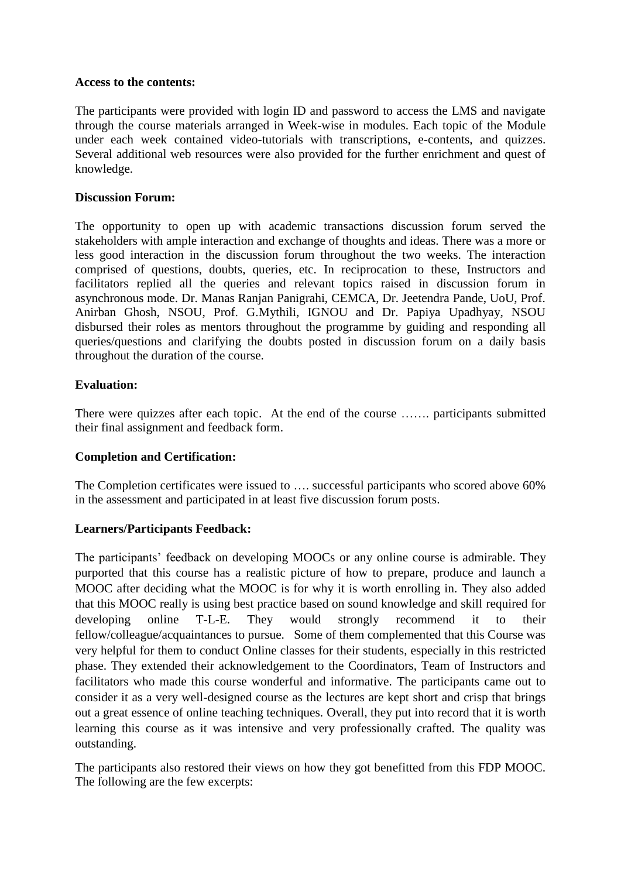#### **Access to the contents:**

The participants were provided with login ID and password to access the LMS and navigate through the course materials arranged in Week-wise in modules. Each topic of the Module under each week contained video-tutorials with transcriptions, e-contents, and quizzes. Several additional web resources were also provided for the further enrichment and quest of knowledge.

#### **Discussion Forum:**

The opportunity to open up with academic transactions discussion forum served the stakeholders with ample interaction and exchange of thoughts and ideas. There was a more or less good interaction in the discussion forum throughout the two weeks. The interaction comprised of questions, doubts, queries, etc. In reciprocation to these, Instructors and facilitators replied all the queries and relevant topics raised in discussion forum in asynchronous mode. Dr. Manas Ranjan Panigrahi, CEMCA, Dr. Jeetendra Pande, UoU, Prof. Anirban Ghosh, NSOU, Prof. G.Mythili, IGNOU and Dr. Papiya Upadhyay, NSOU disbursed their roles as mentors throughout the programme by guiding and responding all queries/questions and clarifying the doubts posted in discussion forum on a daily basis throughout the duration of the course.

#### **Evaluation:**

There were quizzes after each topic. At the end of the course ……. participants submitted their final assignment and feedback form.

## **Completion and Certification:**

The Completion certificates were issued to …. successful participants who scored above 60% in the assessment and participated in at least five discussion forum posts.

## **Learners/Participants Feedback:**

The participants' feedback on developing MOOCs or any online course is admirable. They purported that this course has a realistic picture of how to prepare, produce and launch a MOOC after deciding what the MOOC is for why it is worth enrolling in. They also added that this MOOC really is using best practice based on sound knowledge and skill required for developing online T-L-E. They would strongly recommend it to their fellow/colleague/acquaintances to pursue. Some of them complemented that this Course was very helpful for them to conduct Online classes for their students, especially in this restricted phase. They extended their acknowledgement to the Coordinators, Team of Instructors and facilitators who made this course wonderful and informative. The participants came out to consider it as a very well-designed course as the lectures are kept short and crisp that brings out a great essence of online teaching techniques. Overall, they put into record that it is worth learning this course as it was intensive and very professionally crafted. The quality was outstanding.

The participants also restored their views on how they got benefitted from this FDP MOOC. The following are the few excerpts: